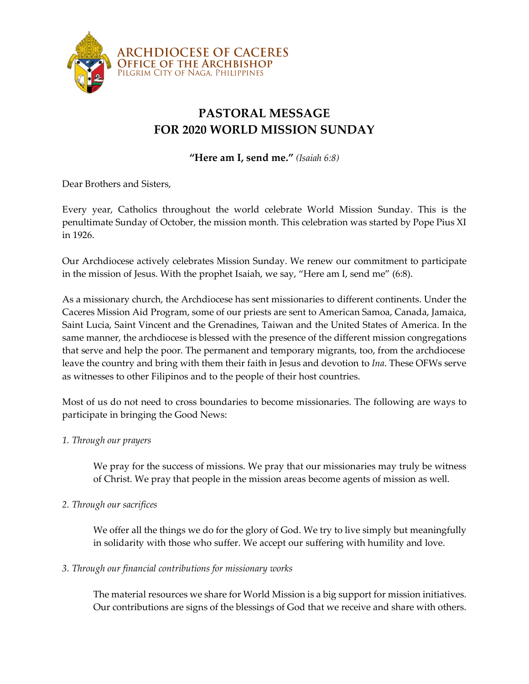

## **PASTORAL MESSAGE FOR 2020 WORLD MISSION SUNDAY**

**"Here am I, send me."** *(Isaiah 6:8)*

Dear Brothers and Sisters,

Every year, Catholics throughout the world celebrate World Mission Sunday. This is the penultimate Sunday of October, the mission month. This celebration was started by Pope Pius XI in 1926.

Our Archdiocese actively celebrates Mission Sunday. We renew our commitment to participate in the mission of Jesus. With the prophet Isaiah, we say, "Here am I, send me" (6:8).

As a missionary church, the Archdiocese has sent missionaries to different continents. Under the Caceres Mission Aid Program, some of our priests are sent to American Samoa, Canada, Jamaica, Saint Lucia, Saint Vincent and the Grenadines, Taiwan and the United States of America. In the same manner, the archdiocese is blessed with the presence of the different mission congregations that serve and help the poor. The permanent and temporary migrants, too, from the archdiocese leave the country and bring with them their faith in Jesus and devotion to *Ina*. These OFWs serve as witnesses to other Filipinos and to the people of their host countries.

Most of us do not need to cross boundaries to become missionaries. The following are ways to participate in bringing the Good News:

## *1. Through our prayers*

We pray for the success of missions. We pray that our missionaries may truly be witness of Christ. We pray that people in the mission areas become agents of mission as well.

## *2. Through our sacrifices*

We offer all the things we do for the glory of God. We try to live simply but meaningfully in solidarity with those who suffer. We accept our suffering with humility and love.

## *3. Through our financial contributions for missionary works*

The material resources we share for World Mission is a big support for mission initiatives. Our contributions are signs of the blessings of God that we receive and share with others.